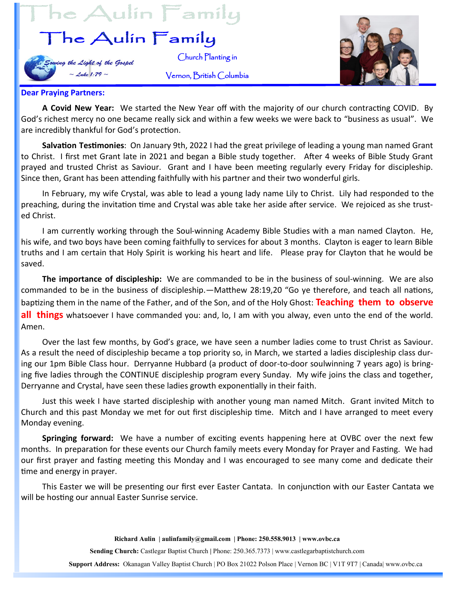## $he$  Aulin  $\overline{\Gamma}$ amily

## he Aulin Family

ing the Light of the Gospel  $\sim$  Luke 1:79  $\sim$ 



## **Dear Praying Partners:**

**A Covid New Year:** We started the New Year off with the majority of our church contracting COVID. By God's richest mercy no one became really sick and within a few weeks we were back to "business as usual". We are incredibly thankful for God's protection.

Church Planting in

Vernon, British Columbia

**Salvation Testimonies**: On January 9th, 2022 I had the great privilege of leading a young man named Grant to Christ. I first met Grant late in 2021 and began a Bible study together. After 4 weeks of Bible Study Grant prayed and trusted Christ as Saviour. Grant and I have been meeting regularly every Friday for discipleship. Since then, Grant has been attending faithfully with his partner and their two wonderful girls.

In February, my wife Crystal, was able to lead a young lady name Lily to Christ. Lily had responded to the preaching, during the invitation time and Crystal was able take her aside after service. We rejoiced as she trusted Christ.

I am currently working through the Soul-winning Academy Bible Studies with a man named Clayton. He, his wife, and two boys have been coming faithfully to services for about 3 months. Clayton is eager to learn Bible truths and I am certain that Holy Spirit is working his heart and life. Please pray for Clayton that he would be saved.

**The importance of discipleship:** We are commanded to be in the business of soul-winning. We are also commanded to be in the business of discipleship.—Matthew 28:19,20 "Go ye therefore, and teach all nations, baptizing them in the name of the Father, and of the Son, and of the Holy Ghost: **Teaching them to observe all things** whatsoever I have commanded you: and, lo, I am with you alway, even unto the end of the world. Amen.

Over the last few months, by God's grace, we have seen a number ladies come to trust Christ as Saviour. As a result the need of discipleship became a top priority so, in March, we started a ladies discipleship class during our 1pm Bible Class hour. Derryanne Hubbard (a product of door-to-door soulwinning 7 years ago) is bringing five ladies through the CONTINUE discipleship program every Sunday. My wife joins the class and together, Derryanne and Crystal, have seen these ladies growth exponentially in their faith.

Just this week I have started discipleship with another young man named Mitch. Grant invited Mitch to Church and this past Monday we met for out first discipleship time. Mitch and I have arranged to meet every Monday evening.

**Springing forward:** We have a number of exciting events happening here at OVBC over the next few months. In preparation for these events our Church family meets every Monday for Prayer and Fasting. We had our first prayer and fasting meeting this Monday and I was encouraged to see many come and dedicate their time and energy in prayer.

This Easter we will be presenting our first ever Easter Cantata. In conjunction with our Easter Cantata we will be hosting our annual Easter Sunrise service.

**Richard Aulin | aulinfamily@gmail.com | Phone: 250.558.9013 | www.ovbc.ca**

**Sending Church:** Castlegar Baptist Church **|** Phone: 250.365.7373 | www.castlegarbaptistchurch.com

**Support Address:** Okanagan Valley Baptist Church | PO Box 21022 Polson Place | Vernon BC | V1T 9T7 | Canada| www.ovbc.ca